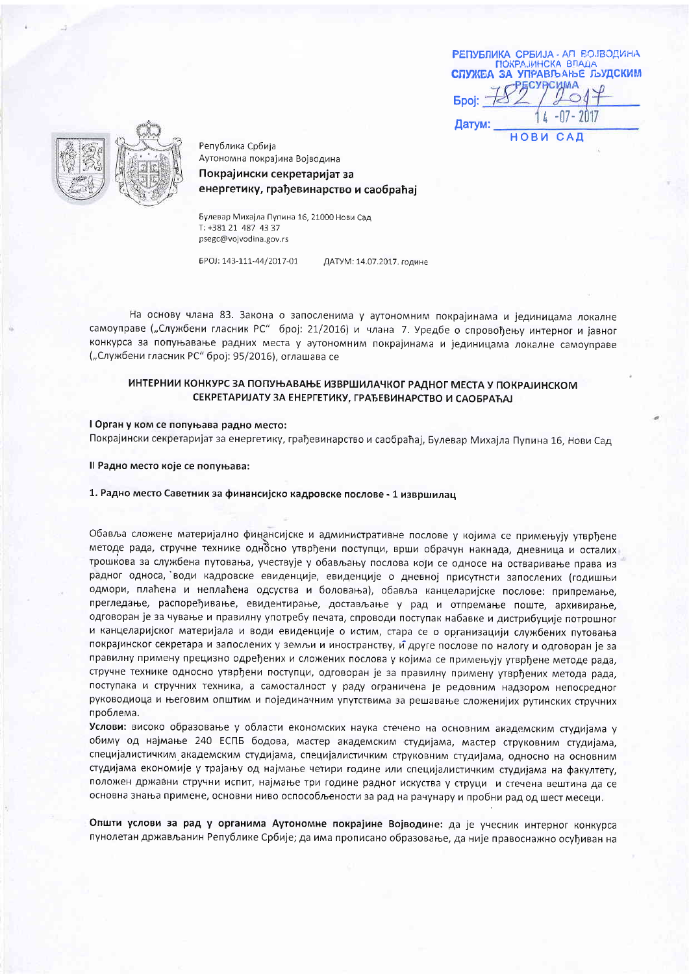| РЕПУБЛИКА СРБИЈА - АП ВОЈВОДИНА<br><b>ПОКРАЈИНСКА ВЛАДА</b> |                 |
|-------------------------------------------------------------|-----------------|
| СПУЖБА ЗА УПРАВЉАЊЕ ЉУДСКИМ<br>ECVPCMMA                     |                 |
| <b>Epoj:</b>                                                |                 |
| Датум:                                                      | $\mu$ -07- 2017 |
|                                                             | <b>НОВИ САД</b> |



Република Србија Аутономна покрајина Војводина Покрајински секретаријат за енергетику, грађевинарство и саобраћај

Булевар Михајла Пупина 16, 21000 Нови Сад T: +381 21 487 43 37 psegc@vojvodina.gov.rs

EPOJ: 143-111-44/2017-01

ДАТУМ: 14.07.2017. године

На основу члана 83. Закона о запосленима у аутономним покрајинама и јединицама локалне самоуправе ("Службени гласник РС" број: 21/2016) и члана 7. Уредбе о спровођењу интерног и јавног конкурса за попуњавање радних места у аутономним покрајинама и јединицама локалне самоуправе ("Службени гласник РС" број: 95/2016), оглашава се

## ИНТЕРНИИ КОНКУРС ЗА ПОПУЊАВАЊЕ ИЗВРШИЛАЧКОГ РАДНОГ МЕСТА У ПОКРАЈИНСКОМ СЕКРЕТАРИЈАТУ ЗА ЕНЕРГЕТИКУ, ГРАЂЕВИНАРСТВО И САОБРАЋАЈ

### I Орган у ком се попуњава радно место:

Покрајински секретаријат за енергетику, грађевинарство и саобраћај, Булевар Михајла Пупина 16, Нови Сад

Il Радно место које се попуњава:

#### 1. Радно место Саветник за финансијско кадровске послове - 1 извршилац

Обавља сложене материјално финансијске и административне послове у којима се примењују утврђене методе рада, стручне технике односно утврђени поступци, врши обрачун накнада, дневница и осталих трошкова за службена путовања, учествује у обављању послова који се односе на остваривање права из радног односа, води кадровске евиденције, евиденције о дневној присутнсти запослених (годишњи одмори, плаћена и неплаћена одсуства и боловања), обавља канцеларијске послове: припремање, прегледање, распоређивање, евидентирање, достављање у рад и отпремање поште, архивирање, одговоран је за чување и правилну употребу печата, спроводи поступак набавке и дистрибуције потрошног и канцеларијског материјала и води евиденције о истим, стара се о организацији службених путовања покрајинског секретара и запослених у земљи и иностранству, и друге послове по налогу и одговоран је за правилну примену прецизно одређених и сложених послова у којима се примењују утврђене методе рада, стручне технике односно утврђени поступци, одговоран је за правилну примену утврђених метода рада, поступака и стручних техника, а самосталност у раду ограничена је редовним надзором непосредног руководиоца и његовим општим и појединачним упутствима за решавање сложенијих рутинских стручних проблема.

Услови: високо образовање у области економских наука стечено на основним академским студијама у обиму од најмање 240 ЕСПБ бодова, мастер академским студијама, мастер струковним студијама, специјалистичким академским студијама, специјалистичким струковним студијама, односно на основним студијама економије у трајању од најмање четири године или специјалистичким студијама на факултету, положен државни стручни испит, најмање три године радног искуства у струци и стечена вештина да се основна знања примене, основни ниво оспособљености за рад на рачунару и пробни рад од шест месеци.

Општи услови за рад у органима Аутономне покрајине Војводине: да је учесник интерног конкурса пунолетан држављанин Републике Србије; да има прописано образовање, да није правоснажно осуђиван на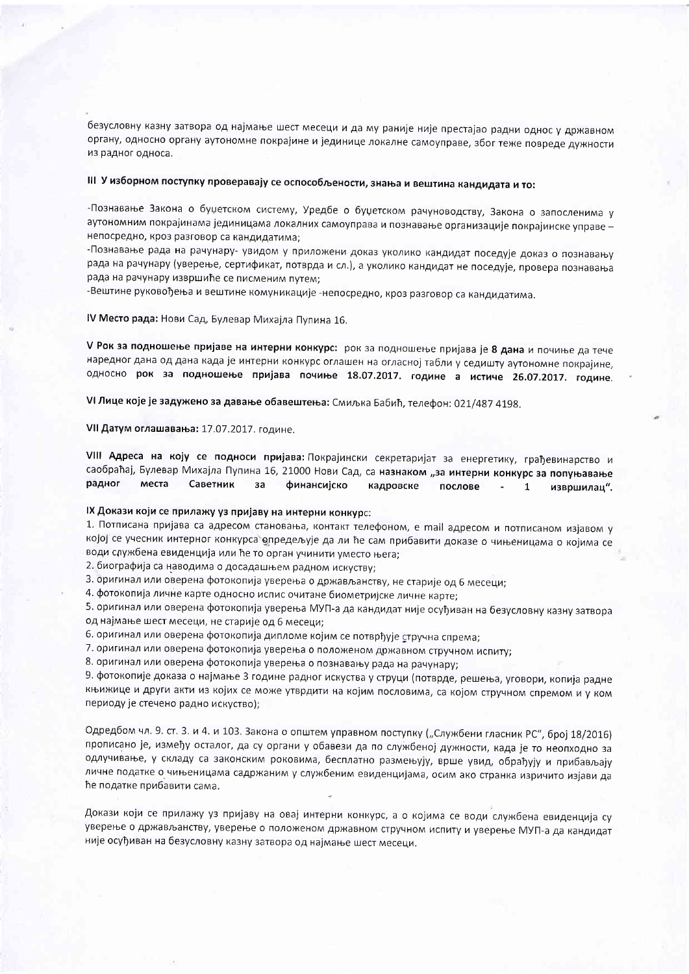безусловну казну затвора од најмање шест месеци и да му раније није престајао радни однос у државном органу, односно органу аутономне покрајине и јединице локалне самоуправе, због теже повреде дужности из радног односа.

# III У изборном поступку проверавају се оспособљености, знања и вештина кандидата и то:

-Познавање Закона о буџетском систему, Уредбе о буџетском рачуноводству, Закона о запосленима у аутономним покрајинама јединицама локалних самоуправа и познавање организације покрајинске управе непосредно, кроз разговор са кандидатима:

-Познавање рада на рачунару- увидом у приложени доказ уколико кандидат поседује доказ о познавању рада на рачунару (уверење, сертификат, потврда и сл.), а уколико кандидат не поседује, провера познавања рада на рачунару извршиће се писменим путем;

-Вештине руковођења и вештине комуникације -непосредно, кроз разговор са кандидатима.

IV Место рада: Нови Сад, Булевар Михајла Пупина 16.

V Рок за подношење пријаве на интерни конкурс: рок за подношење пријава је 8 дана и почиње да тече наредног дана од дана када је интерни конкурс оглашен на огласној табли у седишту аутономне покрајине, односно рок за подношење пријава почиње 18.07.2017. године а истиче 26.07.2017. године.

VI Лице које је задужено за давање обавештења: Смиљка Бабић, телефон: 021/487 4198.

### VII Датум оглашавања: 17.07.2017. године.

VIII Адреса на коју се подноси пријава: Покрајински секретаријат за енергетику, грађевинарство и саобраћај, Булевар Михајла Пупина 16, 21000 Нови Сад, са назнаком "за интерни конкурс за попуњавање радног места Саветник  $3a$ финансијско кадровске послове  $\mathbf{1}$ извршилац".

# IX Докази који се прилажу уз пријаву на интерни конкурс:

1. Потписана пријава са адресом становања, контакт телефоном, е mail адресом и потписаном изјавом у којој се учесник интерног конкурса опредељује да ли ће сам прибавити доказе о чињеницама о којима се води службена евиденција или ће то орган учинити уместо њега;

2. биографија са наводима о досадашњем радном искуству;

3. оригинал или оверена фотокопија уверења о држављанству, не старије од 6 месеци;

4. фотокопија личне карте односно испис очитане биометријске личне карте;

5. оригинал или оверена фотокопија уверења МУП-а да кандидат није осуђиван на безусловну казну затвора од најмање шест месеци, не старије од 6 месеци;

6. оригинал или оверена фотокопија дипломе којим се потврђује стручна спрема;

7. оригинал или оверена фотокопија уверења о положеном државном стручном испиту;

8. оригинал или оверена фотокопија уверења о познавању рада на рачунару;

9. фотокопије доказа о најмање 3 године радног искуства у струци (потврде, решења, уговори, копија радне књижице и други акти из којих се може утврдити на којим пословима, са којом стручном спремом и у ком периоду је стечено радно искуство);

Одредбом чл. 9. ст. 3. и 4. и 103. Закона о општем управном поступку ("Службени гласник РС", број 18/2016) прописано је, између осталог, да су органи у обавези да по службеној дужности, када је то неопходно за одлучивање, у складу са законским роковима, бесплатно размењују, врше увид, обрађују и прибављају личне податке о чињеницама садржаним у службеним евиденцијама, осим ако странка изричито изјави да ће податке прибавити сама.

Докази који се прилажу уз пријаву на овај интерни конкурс, а о којима се води службена евиденција су уверење о држављанству, уверење о положеном државном стручном испиту и уверење МУП-а да кандидат није осуђиван на безусловну казну затвора од најмање шест месеци.